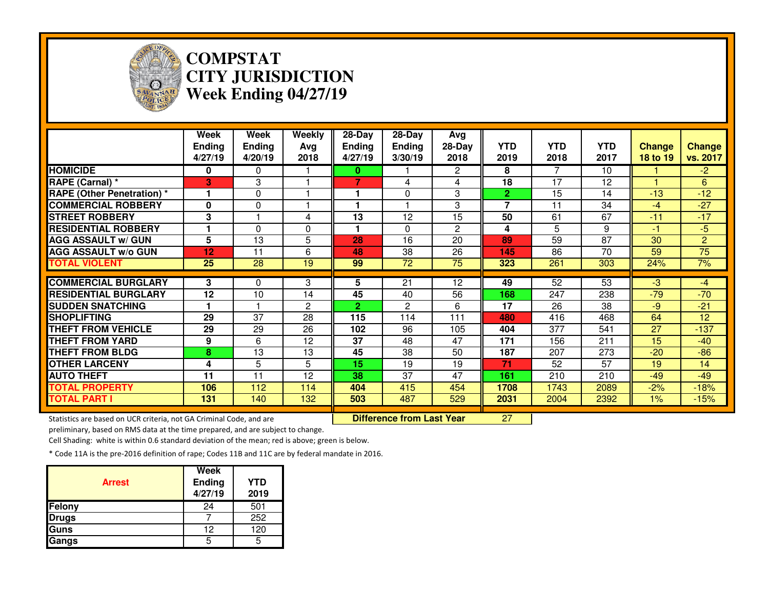

## **COMPSTAT CITY JURISDICTIONWeek Ending 04/27/19**

|                                                                     | Week<br><b>Ending</b><br>4/27/19 | <b>Week</b><br><b>Ending</b><br>4/20/19 | <b>Weekly</b><br>Avg<br>2018 | $28 - Day$<br><b>Ending</b><br>4/27/19 | $28 - Day$<br><b>Ending</b><br>3/30/19 | Avg<br>$28-Day$<br>2018 | <b>YTD</b><br>2019 | <b>YTD</b><br>2018 | <b>YTD</b><br>2017 | <b>Change</b><br>18 to 19 | <b>Change</b><br>vs. 2017 |
|---------------------------------------------------------------------|----------------------------------|-----------------------------------------|------------------------------|----------------------------------------|----------------------------------------|-------------------------|--------------------|--------------------|--------------------|---------------------------|---------------------------|
| <b>HOMICIDE</b>                                                     | $\mathbf{0}$                     | $\Omega$                                |                              | 0                                      |                                        | $\overline{2}$          | 8                  | 7                  | 10                 |                           | $-2$                      |
| RAPE (Carnal) *                                                     | 3                                | 3                                       | -1                           | $\overline{7}$                         | 4                                      | 4                       | 18                 | 17                 | 12                 |                           | 6                         |
| <b>RAPE (Other Penetration) *</b>                                   |                                  | 0                                       |                              |                                        | $\Omega$                               | 3                       | $\mathbf{2}$       | 15                 | 14                 | $-13$                     | $-12$                     |
| <b>COMMERCIAL ROBBERY</b>                                           | $\bf{0}$                         | 0                                       |                              |                                        |                                        | 3                       | $\overline{7}$     | 11                 | 34                 | $-4$                      | $-27$                     |
| <b>STREET ROBBERY</b>                                               | 3                                |                                         | 4                            | 13                                     | 12                                     | 15                      | 50                 | 61                 | 67                 | $-11$                     | $-17$                     |
| <b>RESIDENTIAL ROBBERY</b>                                          |                                  | $\Omega$                                | $\Omega$                     |                                        | $\Omega$                               | $\mathbf{2}$            | 4                  | 5                  | 9                  | $-1$                      | $-5$                      |
| <b>AGG ASSAULT w/ GUN</b>                                           | 5                                | 13                                      | 5                            | 28                                     | 16                                     | 20                      | 89                 | 59                 | $\overline{87}$    | 30                        | $\overline{2}$            |
| <b>AGG ASSAULT w/o GUN</b>                                          | 12                               | 11                                      | 6                            | 48                                     | 38                                     | 26                      | 145                | 86                 | 70                 | 59                        | $\overline{75}$           |
| <b>TOTAL VIOLENT</b>                                                | $\overline{25}$                  | 28                                      | $\overline{19}$              | 99                                     | $\overline{72}$                        | 75                      | 323                | 261                | 303                | 24%                       | 7%                        |
|                                                                     |                                  |                                         |                              |                                        |                                        |                         |                    |                    |                    |                           |                           |
| <b>COMMERCIAL BURGLARY</b>                                          | 3                                | 0                                       | 3                            | 5                                      | $\overline{21}$                        | 12                      | 49                 | $\overline{52}$    | 53                 | $-3$                      | $-4$                      |
| <b>RESIDENTIAL BURGLARY</b>                                         | 12                               | 10                                      | 14                           | 45                                     | 40                                     | 56                      | 168                | 247                | 238                | $-79$                     | $-70$                     |
| <b>SUDDEN SNATCHING</b>                                             |                                  |                                         | 2                            | $\overline{2}$                         | $\overline{2}$                         | 6                       | 17                 | 26                 | 38                 | $-9$                      | $-21$                     |
| <b>SHOPLIFTING</b>                                                  | 29                               | 37                                      | 28                           | 115                                    | 114                                    | 111                     | 480                | 416                | 468                | 64                        | 12                        |
| <b>THEFT FROM VEHICLE</b>                                           | 29                               | 29                                      | 26                           | 102                                    | 96                                     | 105                     | 404                | 377                | 541                | 27                        | $-137$                    |
| <b>THEFT FROM YARD</b>                                              | 9                                | 6                                       | 12                           | 37                                     | 48                                     | 47                      | 171                | 156                | 211                | 15                        | $-40$                     |
| <b>THEFT FROM BLDG</b>                                              | 8                                | 13                                      | 13                           | 45                                     | 38                                     | 50                      | 187                | 207                | 273                | $-20$                     | $-86$                     |
| <b>OTHER LARCENY</b>                                                | 4                                | 5                                       | 5                            | 15                                     | 19                                     | 19                      | 71                 | 52                 | 57                 | 19                        | 14                        |
| <b>AUTO THEFT</b>                                                   | 11                               | 11                                      | 12                           | 38                                     | 37                                     | 47                      | 161                | 210                | 210                | $-49$                     | $-49$                     |
| <b>TOTAL PROPERTY</b>                                               | 106                              | 112                                     | 114                          | 404                                    | 415                                    | 454                     | 1708               | 1743               | 2089               | $-2%$                     | $-18%$                    |
| <b>TOTAL PART I</b>                                                 | 131                              | 140                                     | 132                          | 503                                    | 487                                    | 529                     | 2031               | 2004               | 2392               | 1%                        | $-15%$                    |
| Statistics are based on UCR criteria, not GA Criminal Code, and are |                                  |                                         |                              | <b>Difference from Last Year</b>       |                                        | 27                      |                    |                    |                    |                           |                           |

Statistics are based on UCR criteria, not GA Criminal Code, and are **Difference from Last Year** 

preliminary, based on RMS data at the time prepared, and are subject to change.

Cell Shading: white is within 0.6 standard deviation of the mean; red is above; green is below.

| <b>Arrest</b> | Week<br>Ending<br>4/27/19 | <b>YTD</b><br>2019 |
|---------------|---------------------------|--------------------|
| Felony        | 24                        | 501                |
| <b>Drugs</b>  |                           | 252                |
| Guns          | 12                        | 120                |
| Gangs         | 5                         |                    |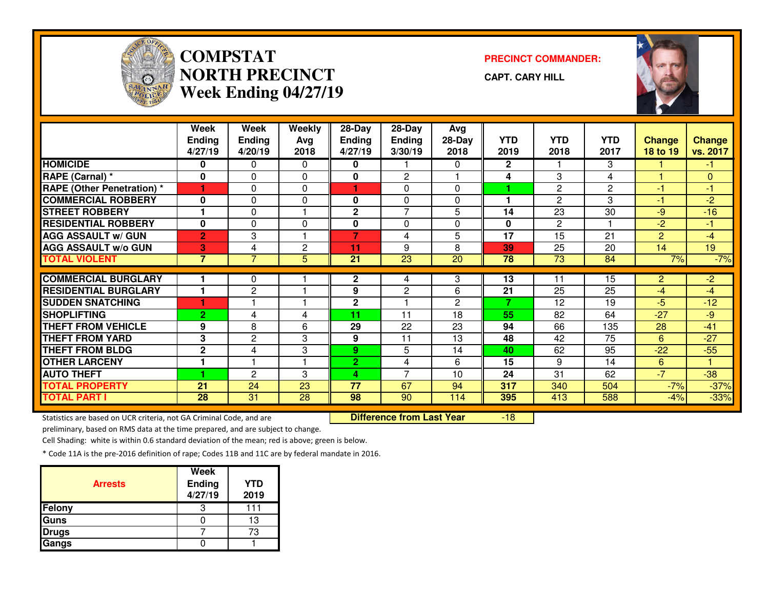

## **COMPSTATNORTH PRECINCTWeek Ending 04/27/19**

**PRECINCT COMMANDER:**

**CAPT. CARY HILL**

-18



|                                  | Week           | Week           | Weekly       | 28-Day          | 28-Day          | Avg    |              |                       |            |                 |               |
|----------------------------------|----------------|----------------|--------------|-----------------|-----------------|--------|--------------|-----------------------|------------|-----------------|---------------|
|                                  | <b>Ending</b>  | <b>Ending</b>  | Avg          | <b>Ending</b>   | <b>Ending</b>   | 28-Day | YTD          | <b>YTD</b>            | <b>YTD</b> | <b>Change</b>   | <b>Change</b> |
|                                  | 4/27/19        | 4/20/19        | 2018         | 4/27/19         | 3/30/19         | 2018   | 2019         | 2018                  | 2017       | <b>18 to 19</b> | vs. 2017      |
| <b>HOMICIDE</b>                  | 0              | 0              | 0            | 0               |                 | 0      | $\mathbf{2}$ |                       | 3          |                 | $-1$          |
| RAPE (Carnal) *                  | $\mathbf{0}$   | 0              | $\Omega$     | 0               | 2               |        | 4            | 3                     | 4          |                 | $\mathbf{0}$  |
| <b>RAPE (Other Penetration)*</b> |                | $\Omega$       | $\Omega$     |                 | 0               | 0      |              | $\mathbf{2}^{\prime}$ | 2          | $-1$            | -1            |
| <b>COMMERCIAL ROBBERY</b>        | $\mathbf{0}$   | 0              | $\Omega$     | 0               | 0               | 0      | ٠            | $\mathbf{2}$          | 3          | $-1$            | $-2$          |
| <b>STREET ROBBERY</b>            |                | 0              |              | $\overline{2}$  | $\overline{7}$  | 5      | 14           | 23                    | 30         | $-9$            | $-16$         |
| <b>RESIDENTIAL ROBBERY</b>       | $\mathbf{0}$   | 0              | $\Omega$     | 0               | 0               | 0      | $\mathbf{0}$ | $\mathbf{2}$          |            | $-2$            | $-1$          |
| <b>AGG ASSAULT w/ GUN</b>        | $\overline{2}$ | 3              |              | $\overline{7}$  | 4               | 5      | 17           | 15                    | 21         | $\overline{2}$  | $-4$          |
| <b>AGG ASSAULT w/o GUN</b>       | 3              | 4              | $\mathbf{2}$ | 11              | 9               | 8      | 39           | 25                    | 20         | 14              | 19            |
| <b>TOTAL VIOLENT</b>             | $\overline{7}$ | $\overline{7}$ | 5            | 21              | $\overline{23}$ | 20     | 78           | $\overline{73}$       | 84         | 7%              | $-7%$         |
|                                  |                |                |              |                 |                 |        |              |                       |            |                 |               |
| <b>COMMERCIAL BURGLARY</b>       |                | 0              |              | $\mathbf{2}$    | 4               | 3      | 13           | 11                    | 15         | $\overline{2}$  | $-2$          |
| <b>RESIDENTIAL BURGLARY</b>      |                | 2              |              | 9               | 2               | 6      | 21           | 25                    | 25         | $-4$            | $-4$          |
| <b>SUDDEN SNATCHING</b>          |                |                |              | $\mathbf 2$     |                 | 2      | 7            | 12                    | 19         | $-5$            | $-12$         |
| <b>SHOPLIFTING</b>               | $\overline{2}$ | 4              | 4            | 11              | 11              | 18     | 55           | 82                    | 64         | $-27$           | -9            |
| <b>THEFT FROM VEHICLE</b>        | 9              | 8              | 6            | 29              | 22              | 23     | 94           | 66                    | 135        | 28              | $-41$         |
| <b>THEFT FROM YARD</b>           | 3              | 2              | 3            | 9               | 11              | 13     | 48           | 42                    | 75         | 6               | $-27$         |
| <b>THEFT FROM BLDG</b>           | $\mathbf{2}$   | 4              | 3            | 9               | 5               | 14     | 40           | 62                    | 95         | $-22$           | $-55$         |
| <b>OTHER LARCENY</b>             | 1              |                | 1            | $\overline{2}$  | 4               | 6      | 15           | 9                     | 14         | 6               | 1.            |
| <b>AUTO THEFT</b>                |                | $\mathbf{2}$   | 3            | 4               | $\overline{7}$  | 10     | 24           | 31                    | 62         | $-7$            | $-38$         |
| <b>TOTAL PROPERTY</b>            | 21             | 24             | 23           | $\overline{77}$ | 67              | 94     | 317          | 340                   | 504        | $-7%$           | $-37%$        |
| <b>TOTAL PART I</b>              | 28             | 31             | 28           | $\overline{98}$ | 90              | 114    | 395          | 413                   | 588        | $-4%$           | $-33%$        |

Statistics are based on UCR criteria, not GA Criminal Code, and are **Difference from Last Year** 

preliminary, based on RMS data at the time prepared, and are subject to change.

Cell Shading: white is within 0.6 standard deviation of the mean; red is above; green is below.

| <b>Arrests</b> | <b>Week</b><br><b>Ending</b><br>4/27/19 | <b>YTD</b><br>2019 |
|----------------|-----------------------------------------|--------------------|
| Felony         | З                                       | 111                |
| Guns           |                                         | 13                 |
| <b>Drugs</b>   |                                         | 73                 |
| Gangs          |                                         |                    |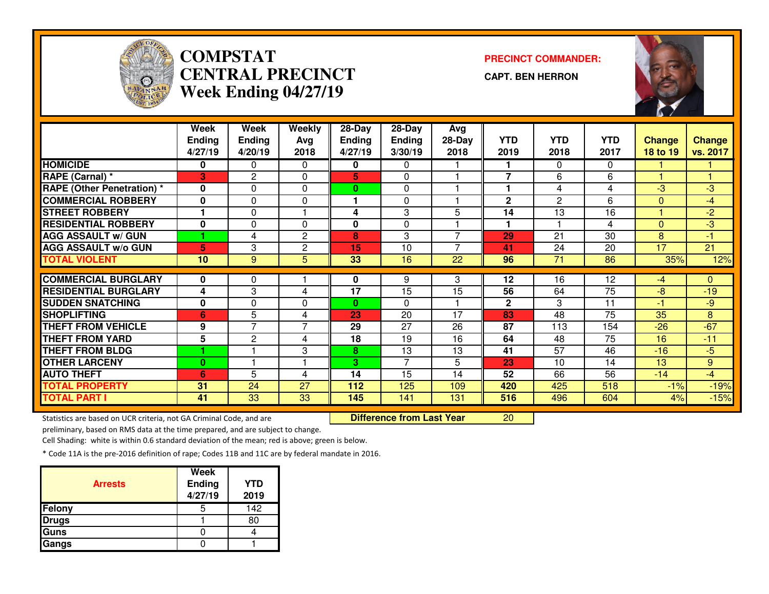

# **COMPSTAT PRECINCT COMMANDER: CENTRAL PRECINCTWeek Ending 04/27/19**

**CAPT. BEN HERRON**



|                                   | Week          | Week            | Weekly       | 28-Day        | 28-Day         | Avg            |                      |                       |                 |                 |               |
|-----------------------------------|---------------|-----------------|--------------|---------------|----------------|----------------|----------------------|-----------------------|-----------------|-----------------|---------------|
|                                   | <b>Ending</b> | <b>Ending</b>   | Avg          | <b>Ending</b> | <b>Ending</b>  | 28-Day         | <b>YTD</b>           | <b>YTD</b>            | <b>YTD</b>      | <b>Change</b>   | <b>Change</b> |
|                                   | 4/27/19       | 4/20/19         | 2018         | 4/27/19       | 3/30/19        | 2018           | 2019                 | 2018                  | 2017            | 18 to 19        | vs. 2017      |
| <b>HOMICIDE</b>                   | 0             | 0               | $\Omega$     | 0             | $\Omega$       |                |                      | $\Omega$              | $\Omega$        |                 |               |
| RAPE (Carnal) *                   | 3             | 2               | 0            | 5             | 0              |                | $\overline{7}$       | 6                     | 6               |                 |               |
| <b>RAPE (Other Penetration) *</b> | $\mathbf{0}$  | $\Omega$        | 0            | $\mathbf{0}$  | 0              |                |                      | 4                     | 4               | $-3$            | $-3$          |
| <b>COMMERCIAL ROBBERY</b>         | $\bf{0}$      | 0               | $\mathbf{0}$ |               | $\Omega$       |                | $\mathbf{2}$         | $\mathbf{2}^{\prime}$ | 6               | $\Omega$        | $-4$          |
| <b>STREET ROBBERY</b>             |               | 0               |              | 4             | 3              | 5              | 14                   | 13                    | 16              |                 | $-2$          |
| <b>RESIDENTIAL ROBBERY</b>        | $\bf{0}$      | $\Omega$        | $\mathbf{0}$ | 0             | $\Omega$       |                | $\blacktriangleleft$ |                       | 4               | $\Omega$        | $-3$          |
| <b>AGG ASSAULT w/ GUN</b>         |               | 4               | 2            | 8             | 3              | $\overline{ }$ | 29                   | 21                    | 30              | 8               | $-1$          |
| <b>AGG ASSAULT w/o GUN</b>        | 5             | 3               | $\mathbf{2}$ | 15            | 10             | $\overline{ }$ | 41                   | 24                    | 20              | $\overline{17}$ | 21            |
| <b>TOTAL VIOLENT</b>              | 10            | 9               | 5            | 33            | 16             | 22             | 96                   | 71                    | 86              | 35%             | 12%           |
|                                   |               |                 |              |               |                |                |                      |                       |                 |                 |               |
| <b>COMMERCIAL BURGLARY</b>        | 0             | 0               |              | 0             | 9              | 3              | 12                   | 16                    | $\overline{12}$ | $-4$            | $\Omega$      |
| <b>RESIDENTIAL BURGLARY</b>       | 4             | 3               | 4            | 17            | 15             | 15             | 56                   | 64                    | 75              | $-8$            | $-19$         |
| <b>SUDDEN SNATCHING</b>           | 0             | 0               | 0            | $\bf{0}$      | $\Omega$       |                | $\mathbf{2}$         | 3                     | 11              | $-1$            | $-9$          |
| <b>SHOPLIFTING</b>                | 6             | 5               | 4            | 23            | 20             | 17             | 83                   | 48                    | 75              | 35              | 8             |
| <b>THEFT FROM VEHICLE</b>         | 9             | 7               | 7            | 29            | 27             | 26             | 87                   | 113                   | 154             | $-26$           | $-67$         |
| <b>THEFT FROM YARD</b>            | 5             | 2               | 4            | 18            | 19             | 16             | 64                   | 48                    | 75              | 16              | $-11$         |
| <b>THEFT FROM BLDG</b>            |               |                 | 3            | 8             | 13             | 13             | 41                   | 57                    | 46              | $-16$           | $-5$          |
| <b>OTHER LARCENY</b>              | $\bf{0}$      |                 |              | 3.            | $\overline{7}$ | 5              | 23                   | 10                    | 14              | 13              | 9             |
| <b>AUTO THEFT</b>                 | 6             | 5               | 4            | 14            | 15             | 14             | 52                   | 66                    | 56              | $-14$           | $-4$          |
| <b>TOTAL PROPERTY</b>             | 31            | 24              | 27           | 112           | 125            | 109            | 420                  | 425                   | 518             | $-1%$           | $-19%$        |
| <b>TOTAL PART I</b>               | 41            | $\overline{33}$ | 33           | 145           | 141            | 131            | 516                  | 496                   | 604             | 4%              | $-15%$        |

Statistics are based on UCR criteria, not GA Criminal Code, and are **Difference from Last Year** 

<sup>20</sup>

preliminary, based on RMS data at the time prepared, and are subject to change.

Cell Shading: white is within 0.6 standard deviation of the mean; red is above; green is below.

| <b>Arrests</b> | <b>Week</b><br><b>Ending</b><br>4/27/19 | <b>YTD</b><br>2019 |
|----------------|-----------------------------------------|--------------------|
| Felony         |                                         | 142                |
| <b>Drugs</b>   |                                         | 80                 |
| Guns           |                                         |                    |
| Gangs          |                                         |                    |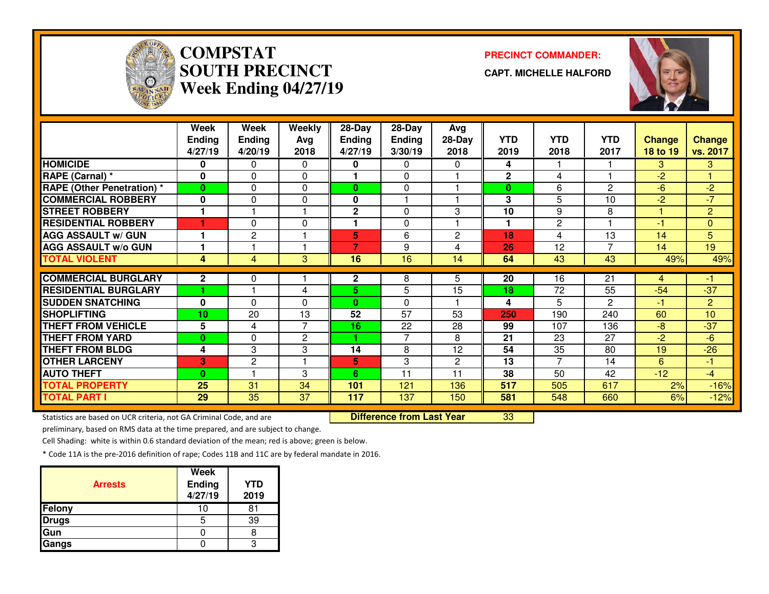

# **COMPSTATSOUTH PRECINCTWeek Ending 04/27/19**

**PRECINCT COMMANDER:**

**CAPT. MICHELLE HALFORD**



|                                   | Week          | Week           | Weekly         | 28-Day        | 28-Day          | Avg            |                      |              |                 |               |                |
|-----------------------------------|---------------|----------------|----------------|---------------|-----------------|----------------|----------------------|--------------|-----------------|---------------|----------------|
|                                   | <b>Ending</b> | <b>Ending</b>  | Avg            | <b>Ending</b> | <b>Ending</b>   | 28-Day         | <b>YTD</b>           | <b>YTD</b>   | <b>YTD</b>      | <b>Change</b> | <b>Change</b>  |
|                                   | 4/27/19       | 4/20/19        | 2018           | 4/27/19       | 3/30/19         | 2018           | 2019                 | 2018         | 2017            | 18 to 19      | vs. 2017       |
| <b>HOMICIDE</b>                   | 0             | 0              | 0              | 0             | 0               | 0              | 4                    |              |                 | 3             | 3              |
| RAPE (Carnal) *                   | $\bf{0}$      | 0              | $\Omega$       |               | $\Omega$        |                | $\mathbf 2$          | 4            |                 | $-2$          |                |
| <b>RAPE (Other Penetration)</b> * | $\bf{0}$      | 0              | $\Omega$       | $\bf{0}$      | $\Omega$        |                | $\bf{0}$             | 6            | 2               | $-6$          | $-2$           |
| <b>COMMERCIAL ROBBERY</b>         | 0             | 0              | $\mathbf 0$    | 0             |                 |                | 3                    | 5            | 10              | $-2$          | $-7$           |
| <b>STREET ROBBERY</b>             | 1             |                |                | $\mathbf 2$   | 0               | 3              | 10                   | 9            | 8               |               | $\overline{2}$ |
| <b>RESIDENTIAL ROBBERY</b>        |               | 0              | 0              |               | 0               |                | $\blacktriangleleft$ | $\mathbf{2}$ |                 | -1            | $\overline{0}$ |
| <b>AGG ASSAULT w/ GUN</b>         | 1             | 2              |                | 5             | 6               | $\overline{2}$ | 18                   | 4            | 13              | 14            | 5              |
| <b>AGG ASSAULT W/o GUN</b>        | 1             |                | ٠              | 7             | 9               | 4              | 26                   | 12           | $\overline{7}$  | 14            | 19             |
| <b>TOTAL VIOLENT</b>              | 4             | $\overline{4}$ | 3              | 16            | 16              | 14             | 64                   | 43           | 43              | 49%           | 49%            |
|                                   |               |                |                |               |                 |                |                      |              |                 |               |                |
| <b>COMMERCIAL BURGLARY</b>        | $\mathbf 2$   | 0              |                | $\mathbf{2}$  | 8               | 5              | 20                   | 16           | $\overline{21}$ | 4             | -1             |
| <b>RESIDENTIAL BURGLARY</b>       |               |                | 4              | 5             | 5               | 15             | 18                   | 72           | 55              | $-54$         | $-37$          |
| <b>SUDDEN SNATCHING</b>           | 0             | 0              | $\Omega$       | $\bf{0}$      | $\Omega$        |                | 4                    | 5            | $\overline{c}$  | -1            | $\overline{2}$ |
| <b>SHOPLIFTING</b>                | 10            | 20             | 13             | 52            | $\overline{57}$ | 53             | 250                  | 190          | 240             | 60            | 10             |
| <b>THEFT FROM VEHICLE</b>         | 5             | 4              | $\overline{7}$ | 16            | 22              | 28             | 99                   | 107          | 136             | $-8$          | $-37$          |
| <b>THEFT FROM YARD</b>            | $\bf{0}$      | 0              | 2              | 4.            | 7               | 8              | 21                   | 23           | 27              | $-2$          | $-6$           |
| <b>THEFT FROM BLDG</b>            | 4             | 3              | 3              | 14            | 8               | 12             | 54                   | 35           | 80              | 19            | $-26$          |
| <b>OTHER LARCENY</b>              | 3             | 2              |                | 5             | 3               | $\overline{2}$ | 13                   | 7            | 14              | 6             | -1             |
| <b>AUTO THEFT</b>                 | $\bf{0}$      |                | 3              | 6.            | 11              | 11             | 38                   | 50           | 42              | $-12$         | $-4$           |
| <b>TOTAL PROPERTY</b>             | 25            | 31             | 34             | 101           | 121             | 136            | 517                  | 505          | 617             | 2%            | $-16%$         |
| <b>TOTAL PART I</b>               | 29            | 35             | 37             | 117           | 137             | 150            | 581                  | 548          | 660             | 6%            | $-12%$         |

Statistics are based on UCR criteria, not GA Criminal Code, and are **Difference from Last Year** 

<sup>33</sup>

preliminary, based on RMS data at the time prepared, and are subject to change.

Cell Shading: white is within 0.6 standard deviation of the mean; red is above; green is below.

| <b>Arrests</b> | <b>Week</b><br>Ending<br>4/27/19 | <b>YTD</b><br>2019 |
|----------------|----------------------------------|--------------------|
| Felony         |                                  | 81                 |
| <b>Drugs</b>   | 5                                | 39                 |
| Gun            |                                  |                    |
| Gangs          |                                  |                    |